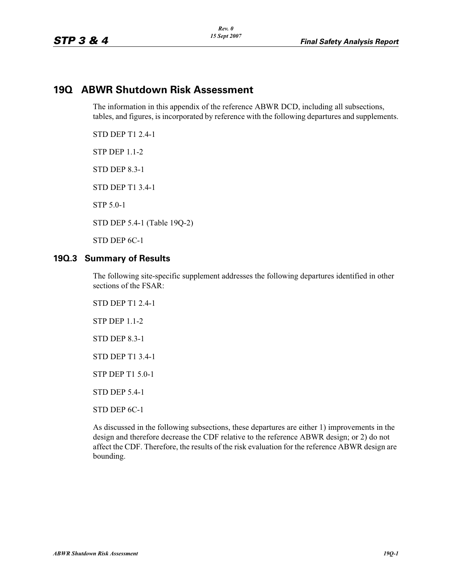# **19Q ABWR Shutdown Risk Assessment**

The information in this appendix of the reference ABWR DCD, including all subsections, tables, and figures, is incorporated by reference with the following departures and supplements.

STD DEP T1 2.4-1

STP DEP 1.1-2

STD DEP 8.3-1

STD DEP T1 3.4-1

STP 5.0-1

STD DEP 5.4-1 (Table 19Q-2)

STD DEP 6C-1

#### **19Q.3 Summary of Results**

The following site-specific supplement addresses the following departures identified in other sections of the FSAR:

STD DEP T1 2.4-1 STP DEP 1.1-2 STD DEP 8.3-1 STD DEP T1 3.4-1 STP DEP T1 5.0-1 STD DEP 5.4-1 STD DEP 6C-1

As discussed in the following subsections, these departures are either 1) improvements in the design and therefore decrease the CDF relative to the reference ABWR design; or 2) do not affect the CDF. Therefore, the results of the risk evaluation for the reference ABWR design are bounding.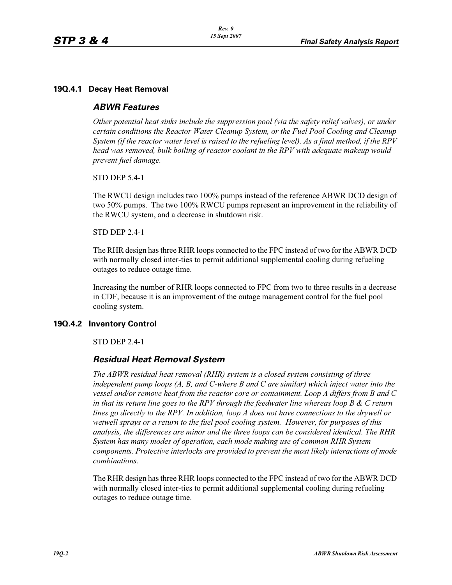## **19Q.4.1 Decay Heat Removal**

## *ABWR Features*

*Other potential heat sinks include the suppression pool (via the safety relief valves), or under certain conditions the Reactor Water Cleanup System, or the Fuel Pool Cooling and Cleanup System (if the reactor water level is raised to the refueling level). As a final method, if the RPV head was removed, bulk boiling of reactor coolant in the RPV with adequate makeup would prevent fuel damage.*

STD DEP 5.4-1

The RWCU design includes two 100% pumps instead of the reference ABWR DCD design of two 50% pumps. The two 100% RWCU pumps represent an improvement in the reliability of the RWCU system, and a decrease in shutdown risk.

STD DEP 2.4-1

The RHR design has three RHR loops connected to the FPC instead of two for the ABWR DCD with normally closed inter-ties to permit additional supplemental cooling during refueling outages to reduce outage time.

Increasing the number of RHR loops connected to FPC from two to three results in a decrease in CDF, because it is an improvement of the outage management control for the fuel pool cooling system.

## **19Q.4.2 Inventory Control**

STD DEP 2.4-1

# *Residual Heat Removal System*

*The ABWR residual heat removal (RHR) system is a closed system consisting of three independent pump loops (A, B, and C-where B and C are similar) which inject water into the vessel and/or remove heat from the reactor core or containment. Loop A differs from B and C in that its return line goes to the RPV through the feedwater line whereas loop B & C return lines go directly to the RPV. In addition, loop A does not have connections to the drywell or wetwell sprays or a return to the fuel pool cooling system. However, for purposes of this analysis, the differences are minor and the three loops can be considered identical. The RHR System has many modes of operation, each mode making use of common RHR System components. Protective interlocks are provided to prevent the most likely interactions of mode combinations.*

The RHR design has three RHR loops connected to the FPC instead of two for the ABWR DCD with normally closed inter-ties to permit additional supplemental cooling during refueling outages to reduce outage time.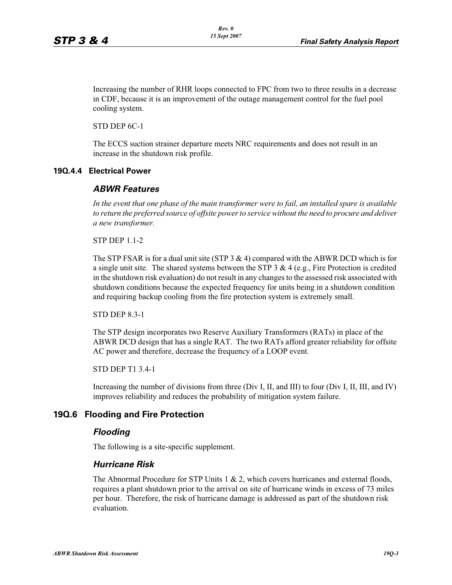Increasing the number of RHR loops connected to FPC from two to three results in a decrease in CDF, because it is an improvement of the outage management control for the fuel pool cooling system.

STD DEP 6C-1

The ECCS suction strainer departure meets NRC requirements and does not result in an increase in the shutdown risk profile.

#### **19Q.4.4 Electrical Power**

#### *ABWR Features*

*In the event that one phase of the main transformer were to fail, an installed spare is available to return the preferred source of offsite power to service without the need to procure and deliver a new transformer.*

STP DEP 1.1-2

The STP FSAR is for a dual unit site (STP  $3 \& 4$ ) compared with the ABWR DCD which is for a single unit site. The shared systems between the STP  $3 \& 4$  (e.g., Fire Protection is credited in the shutdown risk evaluation) do not result in any changes to the assessed risk associated with shutdown conditions because the expected frequency for units being in a shutdown condition and requiring backup cooling from the fire protection system is extremely small.

STD DEP 8.3-1

The STP design incorporates two Reserve Auxiliary Transformers (RATs) in place of the ABWR DCD design that has a single RAT. The two RATs afford greater reliability for offsite AC power and therefore, decrease the frequency of a LOOP event.

STD DEP T1 3.4-1

Increasing the number of divisions from three (Div I, II, and III) to four (Div I, II, III, and IV) improves reliability and reduces the probability of mitigation system failure.

## **19Q.6 Flooding and Fire Protection**

#### *Flooding*

The following is a site-specific supplement.

#### *Hurricane Risk*

The Abnormal Procedure for STP Units  $1 \& 2$ , which covers hurricanes and external floods, requires a plant shutdown prior to the arrival on site of hurricane winds in excess of 73 miles per hour. Therefore, the risk of hurricane damage is addressed as part of the shutdown risk evaluation.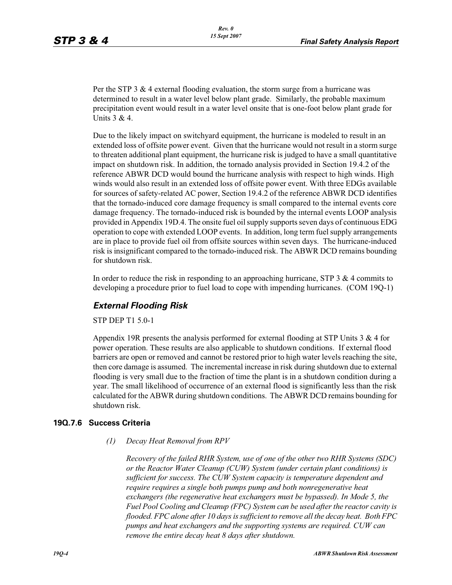Per the STP 3 & 4 external flooding evaluation, the storm surge from a hurricane was determined to result in a water level below plant grade. Similarly, the probable maximum precipitation event would result in a water level onsite that is one-foot below plant grade for Units 3 & 4.

Due to the likely impact on switchyard equipment, the hurricane is modeled to result in an extended loss of offsite power event. Given that the hurricane would not result in a storm surge to threaten additional plant equipment, the hurricane risk is judged to have a small quantitative impact on shutdown risk. In addition, the tornado analysis provided in Section 19.4.2 of the reference ABWR DCD would bound the hurricane analysis with respect to high winds. High winds would also result in an extended loss of offsite power event. With three EDGs available for sources of safety-related AC power, Section 19.4.2 of the reference ABWR DCD identifies that the tornado-induced core damage frequency is small compared to the internal events core damage frequency. The tornado-induced risk is bounded by the internal events LOOP analysis provided in Appendix 19D.4. The onsite fuel oil supply supports seven days of continuous EDG operation to cope with extended LOOP events. In addition, long term fuel supply arrangements are in place to provide fuel oil from offsite sources within seven days. The hurricane-induced risk is insignificant compared to the tornado-induced risk. The ABWR DCD remains bounding for shutdown risk.

In order to reduce the risk in responding to an approaching hurricane, STP 3  $\&$  4 commits to developing a procedure prior to fuel load to cope with impending hurricanes. (COM 19Q-1)

# *External Flooding Risk*

STP DEP T1 5.0-1

Appendix 19R presents the analysis performed for external flooding at STP Units 3 & 4 for power operation. These results are also applicable to shutdown conditions. If external flood barriers are open or removed and cannot be restored prior to high water levels reaching the site, then core damage is assumed. The incremental increase in risk during shutdown due to external flooding is very small due to the fraction of time the plant is in a shutdown condition during a year. The small likelihood of occurrence of an external flood is significantly less than the risk calculated for the ABWR during shutdown conditions. The ABWR DCD remains bounding for shutdown risk.

#### **19Q.7.6 Success Criteria**

*(1) Decay Heat Removal from RPV*

*Recovery of the failed RHR System, use of one of the other two RHR Systems (SDC) or the Reactor Water Cleanup (CUW) System (under certain plant conditions) is sufficient for success. The CUW System capacity is temperature dependent and require requires a single both pumps pump and both nonregenerative heat exchangers (the regenerative heat exchangers must be bypassed). In Mode 5, the Fuel Pool Cooling and Cleanup (FPC) System can be used after the reactor cavity is flooded. FPC alone after 10 days is sufficient to remove all the decay heat. Both FPC pumps and heat exchangers and the supporting systems are required. CUW can remove the entire decay heat 8 days after shutdown.*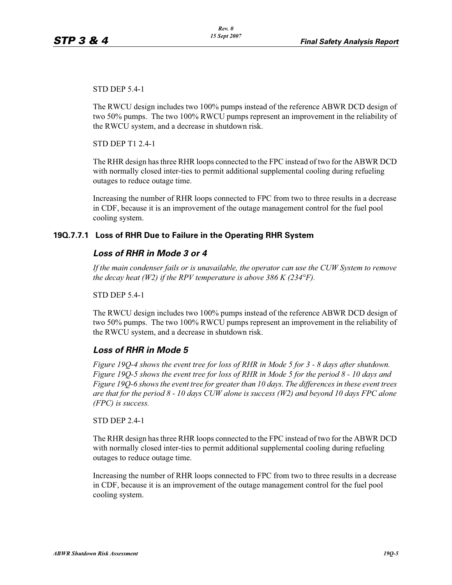STD DEP 5.4-1

The RWCU design includes two 100% pumps instead of the reference ABWR DCD design of two 50% pumps. The two 100% RWCU pumps represent an improvement in the reliability of the RWCU system, and a decrease in shutdown risk.

STD DEP T1 2.4-1

The RHR design has three RHR loops connected to the FPC instead of two for the ABWR DCD with normally closed inter-ties to permit additional supplemental cooling during refueling outages to reduce outage time.

Increasing the number of RHR loops connected to FPC from two to three results in a decrease in CDF, because it is an improvement of the outage management control for the fuel pool cooling system.

## **19Q.7.7.1 Loss of RHR Due to Failure in the Operating RHR System**

## *Loss of RHR in Mode 3 or 4*

*If the main condenser fails or is unavailable, the operator can use the CUW System to remove the decay heat (W2) if the RPV temperature is above 386 K (234°F).*

STD DEP 5.4-1

The RWCU design includes two 100% pumps instead of the reference ABWR DCD design of two 50% pumps. The two 100% RWCU pumps represent an improvement in the reliability of the RWCU system, and a decrease in shutdown risk.

## *Loss of RHR in Mode 5*

*Figure 19Q-4 shows the event tree for loss of RHR in Mode 5 for 3 - 8 days after shutdown. Figure 19Q-5 shows the event tree for loss of RHR in Mode 5 for the period 8 - 10 days and Figure 19Q-6 shows the event tree for greater than 10 days. The differences in these event trees are that for the period 8 - 10 days CUW alone is success (W2) and beyond 10 days FPC alone (FPC) is success.*

STD DEP 2.4-1

The RHR design has three RHR loops connected to the FPC instead of two for the ABWR DCD with normally closed inter-ties to permit additional supplemental cooling during refueling outages to reduce outage time.

Increasing the number of RHR loops connected to FPC from two to three results in a decrease in CDF, because it is an improvement of the outage management control for the fuel pool cooling system.